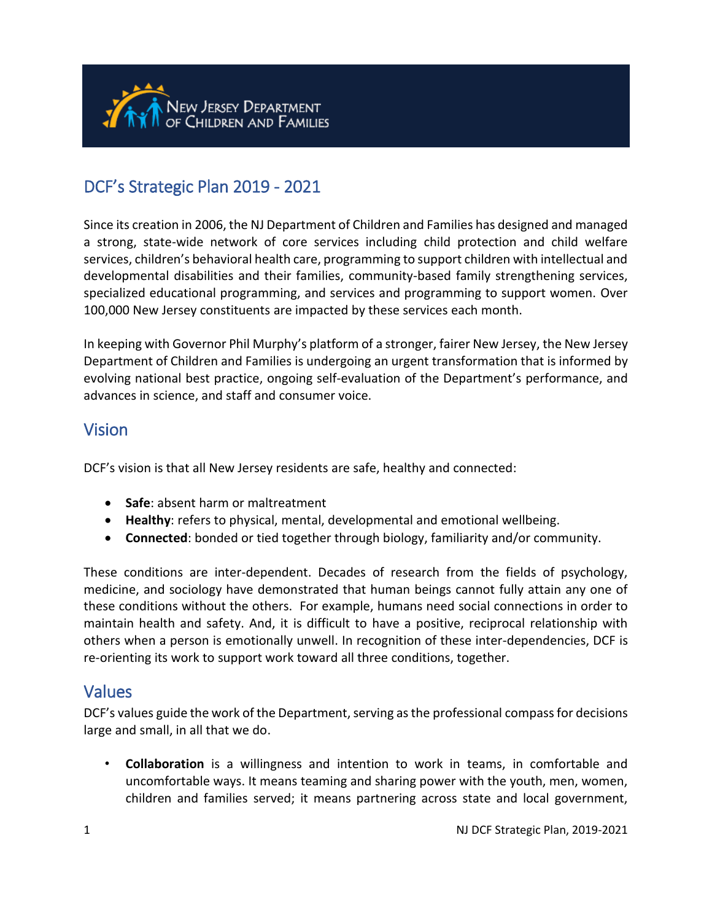

# DCF's Strategic Plan 2019 - 2021

Since its creation in 2006, the NJ Department of Children and Families has designed and managed a strong, state-wide network of core services including child protection and child welfare services, children's behavioral health care, programming to support children with intellectual and developmental disabilities and their families, community-based family strengthening services, specialized educational programming, and services and programming to support women. Over 100,000 New Jersey constituents are impacted by these services each month.

In keeping with Governor Phil Murphy's platform of a stronger, fairer New Jersey, the New Jersey Department of Children and Families is undergoing an urgent transformation that is informed by evolving national best practice, ongoing self-evaluation of the Department's performance, and advances in science, and staff and consumer voice.

## Vision

l

DCF's vision is that all New Jersey residents are safe, healthy and connected:

- **Safe**: absent harm or maltreatment
- **Healthy**: refers to physical, mental, developmental and emotional wellbeing.
- **Connected**: bonded or tied together through biology, familiarity and/or community.

These conditions are inter-dependent. Decades of research from the fields of psychology, medicine, and sociology have demonstrated that human beings cannot fully attain any one of these conditions without the others. For example, humans need social connections in order to maintain health and safety. And, it is difficult to have a positive, reciprocal relationship with others when a person is emotionally unwell. In recognition of these inter-dependencies, DCF is re-orienting its work to support work toward all three conditions, together.

### Values

DCF's values guide the work of the Department, serving as the professional compass for decisions large and small, in all that we do.

• **Collaboration** is a willingness and intention to work in teams, in comfortable and uncomfortable ways. It means teaming and sharing power with the youth, men, women, children and families served; it means partnering across state and local government,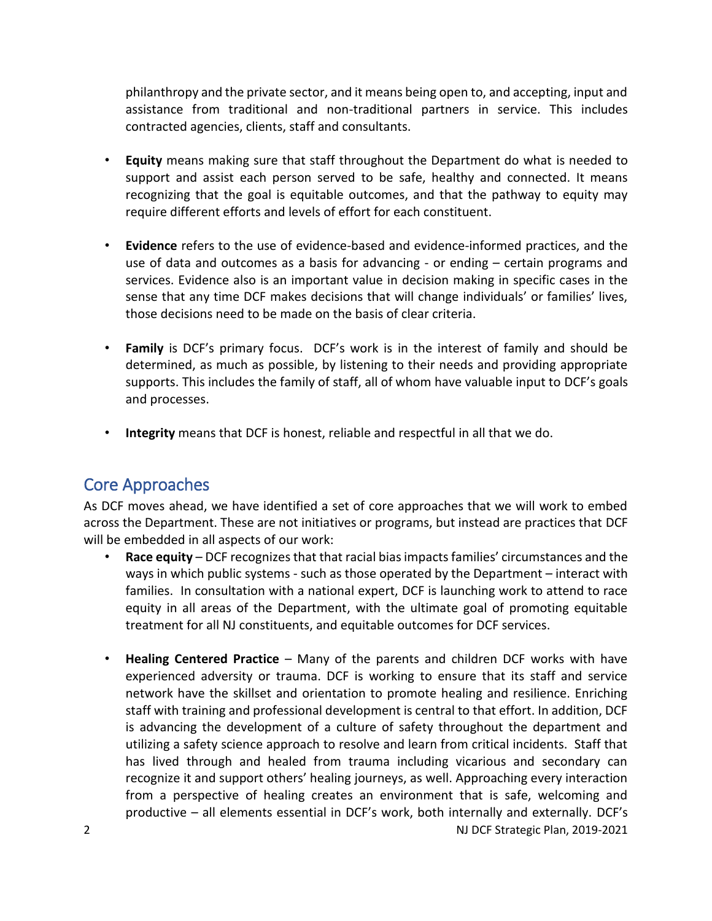philanthropy and the private sector, and it means being open to, and accepting, input and assistance from traditional and non-traditional partners in service. This includes contracted agencies, clients, staff and consultants.

- **Equity** means making sure that staff throughout the Department do what is needed to support and assist each person served to be safe, healthy and connected. It means recognizing that the goal is equitable outcomes, and that the pathway to equity may require different efforts and levels of effort for each constituent.
- **Evidence** refers to the use of evidence-based and evidence-informed practices, and the use of data and outcomes as a basis for advancing - or ending – certain programs and services. Evidence also is an important value in decision making in specific cases in the sense that any time DCF makes decisions that will change individuals' or families' lives, those decisions need to be made on the basis of clear criteria.
- **Family** is DCF's primary focus. DCF's work is in the interest of family and should be determined, as much as possible, by listening to their needs and providing appropriate supports. This includes the family of staff, all of whom have valuable input to DCF's goals and processes.
- **Integrity** means that DCF is honest, reliable and respectful in all that we do.

## Core Approaches

As DCF moves ahead, we have identified a set of core approaches that we will work to embed across the Department. These are not initiatives or programs, but instead are practices that DCF will be embedded in all aspects of our work:

- **Race equity** DCF recognizes that that racial bias impacts families' circumstances and the ways in which public systems - such as those operated by the Department – interact with families. In consultation with a national expert, DCF is launching work to attend to race equity in all areas of the Department, with the ultimate goal of promoting equitable treatment for all NJ constituents, and equitable outcomes for DCF services.
- 2 **NJ DCF Strategic Plan, 2019-2021** • **Healing Centered Practice** – Many of the parents and children DCF works with have experienced adversity or trauma. DCF is working to ensure that its staff and service network have the skillset and orientation to promote healing and resilience. Enriching staff with training and professional development is central to that effort. In addition, DCF is advancing the development of a culture of safety throughout the department and utilizing a safety science approach to resolve and learn from critical incidents. Staff that has lived through and healed from trauma including vicarious and secondary can recognize it and support others' healing journeys, as well. Approaching every interaction from a perspective of healing creates an environment that is safe, welcoming and productive – all elements essential in DCF's work, both internally and externally. DCF's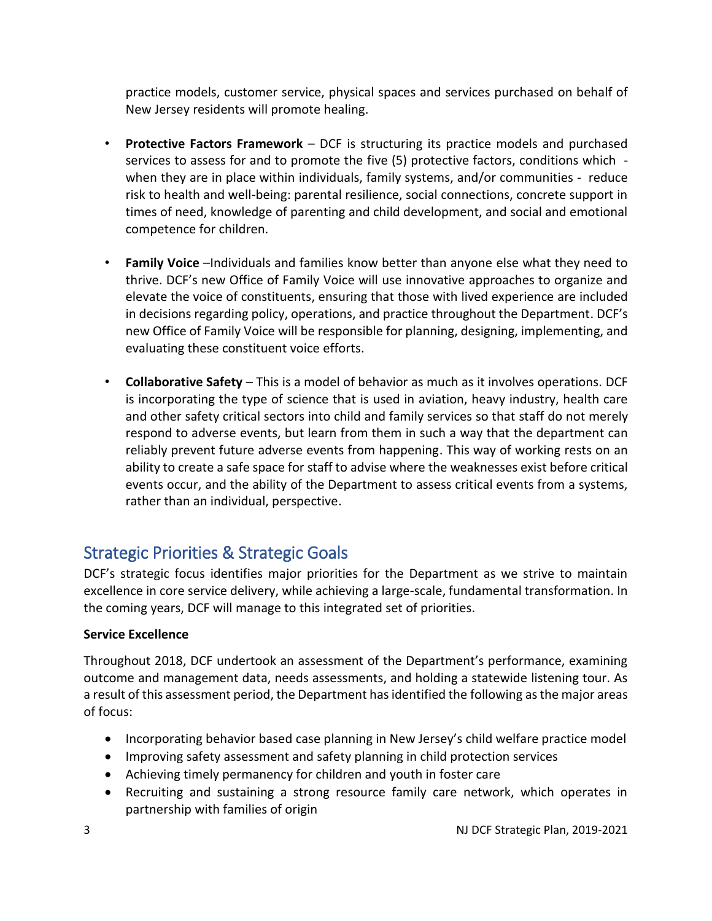practice models, customer service, physical spaces and services purchased on behalf of New Jersey residents will promote healing.

- **Protective Factors Framework** DCF is structuring its practice models and purchased services to assess for and to promote the five (5) protective factors, conditions which when they are in place within individuals, family systems, and/or communities - reduce risk to health and well-being: parental resilience, social connections, concrete support in times of need, knowledge of parenting and child development, and social and emotional competence for children.
- **Family Voice** –Individuals and families know better than anyone else what they need to thrive. DCF's new Office of Family Voice will use innovative approaches to organize and elevate the voice of constituents, ensuring that those with lived experience are included in decisions regarding policy, operations, and practice throughout the Department. DCF's new Office of Family Voice will be responsible for planning, designing, implementing, and evaluating these constituent voice efforts.
- **Collaborative Safety** This is a model of behavior as much as it involves operations. DCF is incorporating the type of science that is used in aviation, heavy industry, health care and other safety critical sectors into child and family services so that staff do not merely respond to adverse events, but learn from them in such a way that the department can reliably prevent future adverse events from happening. This way of working rests on an ability to create a safe space for staff to advise where the weaknesses exist before critical events occur, and the ability of the Department to assess critical events from a systems, rather than an individual, perspective.

## Strategic Priorities & Strategic Goals

DCF's strategic focus identifies major priorities for the Department as we strive to maintain excellence in core service delivery, while achieving a large-scale, fundamental transformation. In the coming years, DCF will manage to this integrated set of priorities.

#### **Service Excellence**

Throughout 2018, DCF undertook an assessment of the Department's performance, examining outcome and management data, needs assessments, and holding a statewide listening tour. As a result of this assessment period, the Department has identified the following as the major areas of focus:

- Incorporating behavior based case planning in New Jersey's child welfare practice model
- Improving safety assessment and safety planning in child protection services
- Achieving timely permanency for children and youth in foster care
- Recruiting and sustaining a strong resource family care network, which operates in partnership with families of origin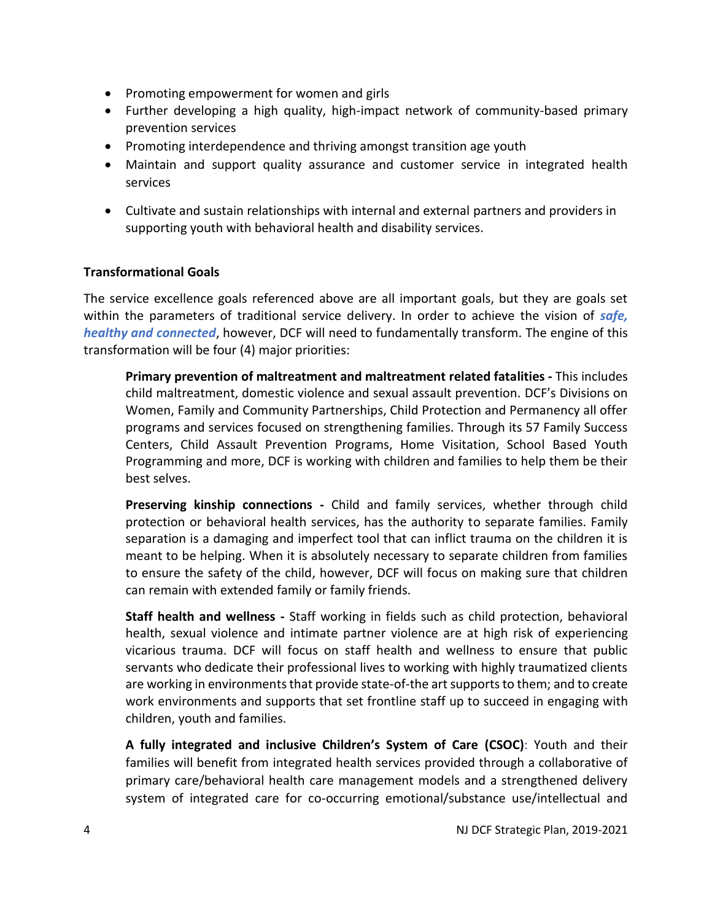- Promoting empowerment for women and girls
- Further developing a high quality, high-impact network of community-based primary prevention services
- Promoting interdependence and thriving amongst transition age youth
- Maintain and support quality assurance and customer service in integrated health services
- Cultivate and sustain relationships with internal and external partners and providers in supporting youth with behavioral health and disability services.

#### **Transformational Goals**

The service excellence goals referenced above are all important goals, but they are goals set within the parameters of traditional service delivery. In order to achieve the vision of *safe, healthy and connected*, however, DCF will need to fundamentally transform. The engine of this transformation will be four (4) major priorities:

**Primary prevention of maltreatment and maltreatment related fatalities -** This includes child maltreatment, domestic violence and sexual assault prevention. DCF's Divisions on Women, Family and Community Partnerships, Child Protection and Permanency all offer programs and services focused on strengthening families. Through its 57 Family Success Centers, Child Assault Prevention Programs, Home Visitation, School Based Youth Programming and more, DCF is working with children and families to help them be their best selves.

**Preserving kinship connections -** Child and family services, whether through child protection or behavioral health services, has the authority to separate families. Family separation is a damaging and imperfect tool that can inflict trauma on the children it is meant to be helping. When it is absolutely necessary to separate children from families to ensure the safety of the child, however, DCF will focus on making sure that children can remain with extended family or family friends.

**Staff health and wellness -** Staff working in fields such as child protection, behavioral health, sexual violence and intimate partner violence are at high risk of experiencing vicarious trauma. DCF will focus on staff health and wellness to ensure that public servants who dedicate their professional lives to working with highly traumatized clients are working in environments that provide state-of-the art supports to them; and to create work environments and supports that set frontline staff up to succeed in engaging with children, youth and families.

**A fully integrated and inclusive Children's System of Care (CSOC)**: Youth and their families will benefit from integrated health services provided through a collaborative of primary care/behavioral health care management models and a strengthened delivery system of integrated care for co-occurring emotional/substance use/intellectual and